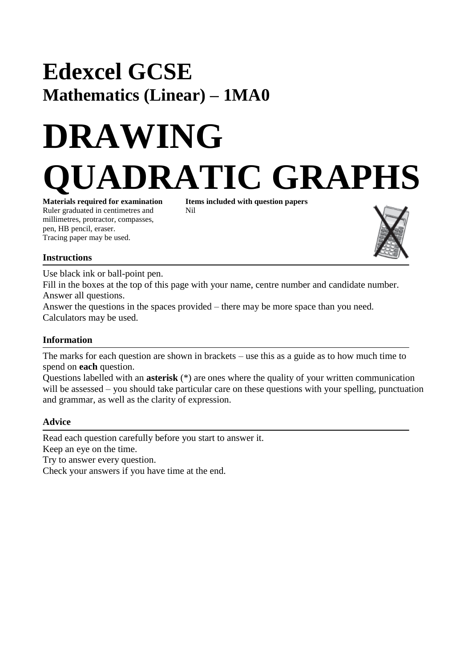# **Edexcel GCSE Mathematics (Linear) – 1MA0**

# **DRAWING DRATIC GRAPHS**

**Materials required for examination Items included with question papers** Ruler graduated in centimetres and Nil millimetres, protractor, compasses, pen, HB pencil, eraser. Tracing paper may be used.



## **Instructions**

Use black ink or ball-point pen.

Fill in the boxes at the top of this page with your name, centre number and candidate number. Answer all questions.

Answer the questions in the spaces provided – there may be more space than you need. Calculators may be used.

### **Information**

The marks for each question are shown in brackets – use this as a guide as to how much time to spend on **each** question.

Questions labelled with an **asterisk** (\*) are ones where the quality of your written communication will be assessed – you should take particular care on these questions with your spelling, punctuation and grammar, as well as the clarity of expression.

#### **Advice**

Read each question carefully before you start to answer it. Keep an eye on the time. Try to answer every question.

Check your answers if you have time at the end.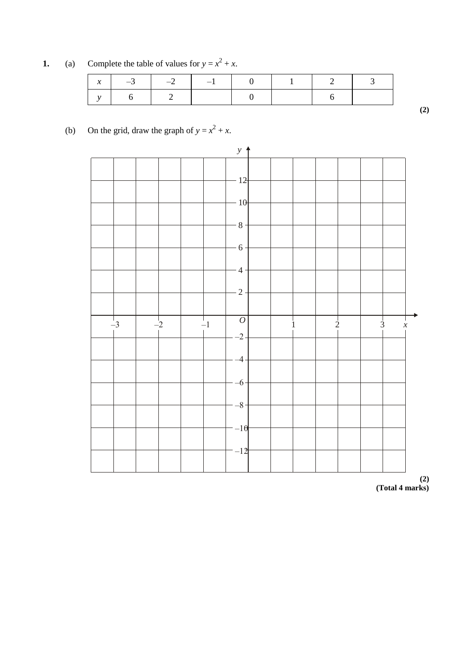**1.** (a) Complete the table of values for  $y = x^2 + x$ .

|  |  | $x \mid x \mid -3 \mid -2 \mid -1 \mid 0 \mid 1 \mid$ |  |
|--|--|-------------------------------------------------------|--|
|  |  |                                                       |  |

**(2)**

#### (b) On the grid, draw the graph of  $y = x^2 + x$ .

 $-12$  $-10$  $-8 -6$  $-4$  $-2 \begin{array}{c|c|c|c|c|c} \hline 1 & 2 & 3 \\ \hline \end{array}$  $-2$ –4 –6  $-8$  $-10$  $-12$ –3 –2 –1 *<sup>O</sup> <sup>x</sup> y*  $\uparrow$ 

**(2) (Total 4 marks)**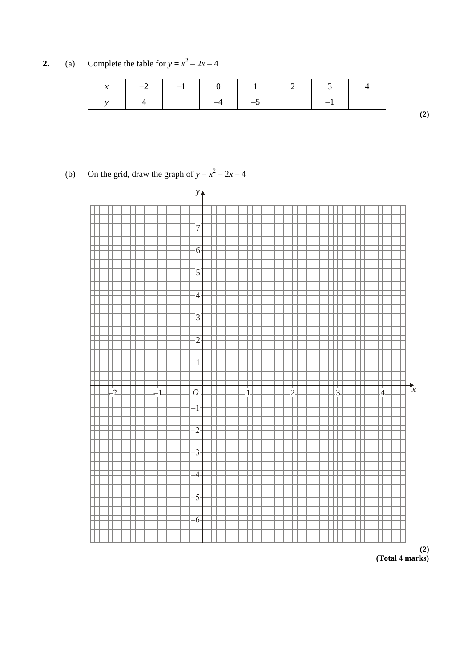**2.** (a) Complete the table for  $y = x^2 - 2x - 4$ 

| $\mathcal{X}$ | $-2$ $-1$ $0$ $1$ $2$ $3$ |      |                       |  |  |
|---------------|---------------------------|------|-----------------------|--|--|
|               |                           | $-4$ | $\sqrt{1}$ $\sqrt{5}$ |  |  |

#### (b) On the grid, draw the graph of  $y = x^2 - 2x - 4$





**(2)**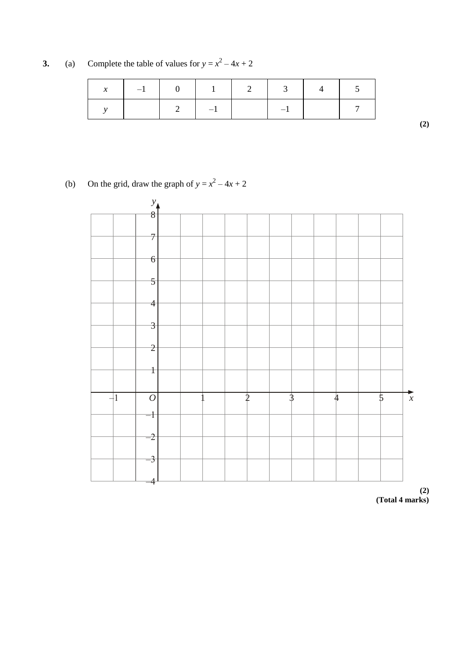**3.** (a) Complete the table of values for  $y = x^2 - 4x + 2$ 

| $\mathcal{X}$ | $-1$ |           |  |  |
|---------------|------|-----------|--|--|
|               |      | $\sim -1$ |  |  |

**(2)**

(b) On the grid, draw the graph of  $y = x^2 - 4x + 2$ 



**(2) (Total 4 marks)**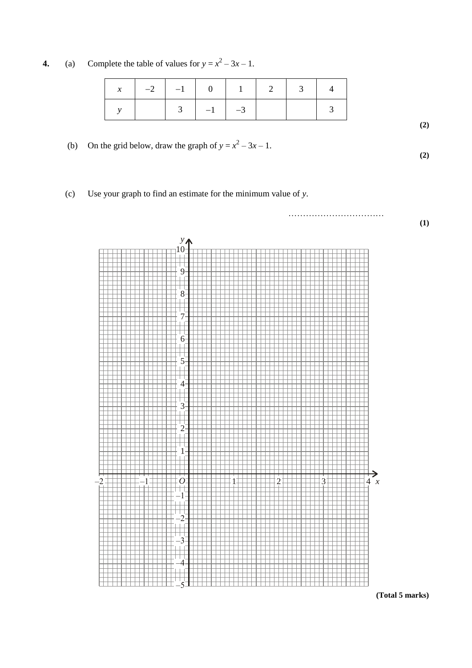**4.** (a) Complete the table of values for  $y = x^2 - 3x - 1$ .

|  |                     | $x \mid -2 \mid -1 \mid 0 \mid 1 \mid 2 \mid 3$ |  |  |
|--|---------------------|-------------------------------------------------|--|--|
|  | $3 \mid -1 \mid -3$ |                                                 |  |  |

(b) On the grid below, draw the graph of  $y = x^2 - 3x - 1$ .

(c) Use your graph to find an estimate for the minimum value of *y*.



**(Total 5 marks)**

**(2)**

**(2)**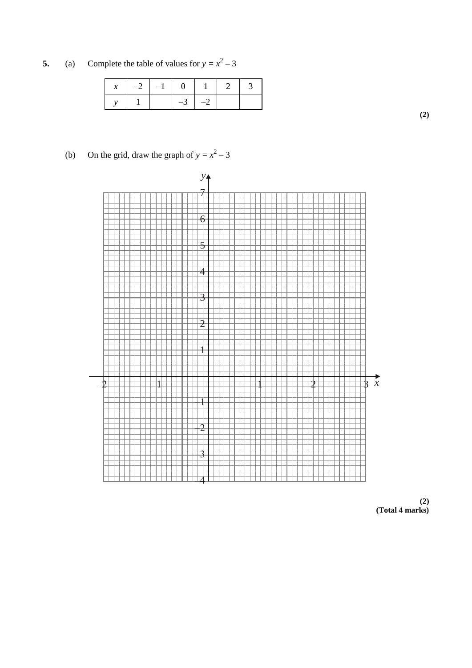**5.** (a) Complete the table of values for  $y = x^2 - 3$ 

| $x \mid -2 \mid -1 \mid 0$ |           | $\blacksquare$ |  |
|----------------------------|-----------|----------------|--|
|                            | $-3$ $-2$ |                |  |

**(2)**

(b) On the grid, draw the graph of  $y = x^2 - 3$ 



**(2) (Total 4 marks)**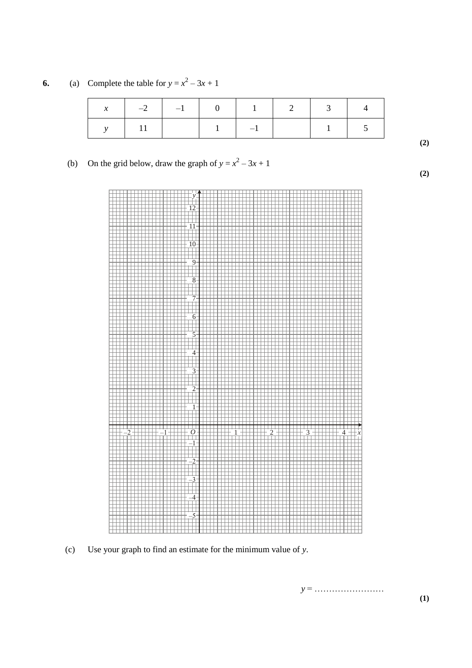**6.** (a) Complete the table for  $y = x^2 - 3x + 1$ 

| $\mathcal{X}$ | $-2$ $-1$ | $\mathbf{I}$<br>$\mathbf{1}$<br>$\bigcirc$ | $\blacksquare$ 1 | $\gamma$ | $\mathcal{R}$ |  |
|---------------|-----------|--------------------------------------------|------------------|----------|---------------|--|
|               |           |                                            | $-1$             |          |               |  |

#### (b) On the grid below, draw the graph of  $y = x^2 - 3x + 1$



(c) Use your graph to find an estimate for the minimum value of *y*.

*y* = ……………………

**(2)**

**(2)**

**(1)**